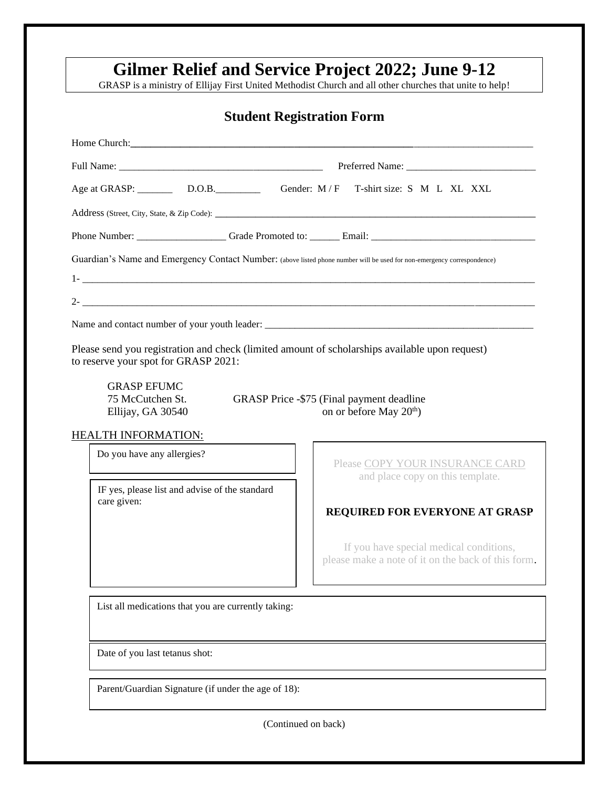| Gilmer Relief and Service Project 2022; June 9-12<br>GRASP is a ministry of Ellijay First United Methodist Church and all other churches that unite to help!<br><b>Student Registration Form</b> |                                                                                               |
|--------------------------------------------------------------------------------------------------------------------------------------------------------------------------------------------------|-----------------------------------------------------------------------------------------------|
|                                                                                                                                                                                                  |                                                                                               |
|                                                                                                                                                                                                  |                                                                                               |
|                                                                                                                                                                                                  |                                                                                               |
|                                                                                                                                                                                                  |                                                                                               |
|                                                                                                                                                                                                  |                                                                                               |
| Guardian's Name and Emergency Contact Number: (above listed phone number will be used for non-emergency correspondence)                                                                          |                                                                                               |
| $2$ -                                                                                                                                                                                            |                                                                                               |
|                                                                                                                                                                                                  |                                                                                               |
| <b>GRASP EFUMC</b><br>75 McCutchen St.<br>Ellijay, GA 30540<br>HEALTH INFORMATION:<br>Do you have any allergies?                                                                                 | GRASP Price -\$75 (Final payment deadline<br>on or before May 20 <sup>th</sup> )              |
| IF yes, please list and advise of the standard<br>care given:                                                                                                                                    | Please COPY YOUR INSURANCE CARD<br>and place copy on this template.                           |
|                                                                                                                                                                                                  | <b>REQUIRED FOR EVERYONE AT GRASP</b>                                                         |
|                                                                                                                                                                                                  | If you have special medical conditions,<br>please make a note of it on the back of this form. |
| List all medications that you are currently taking:                                                                                                                                              |                                                                                               |
| Date of you last tetanus shot:                                                                                                                                                                   |                                                                                               |
| Parent/Guardian Signature (if under the age of 18):                                                                                                                                              |                                                                                               |
| (Continued on back)                                                                                                                                                                              |                                                                                               |